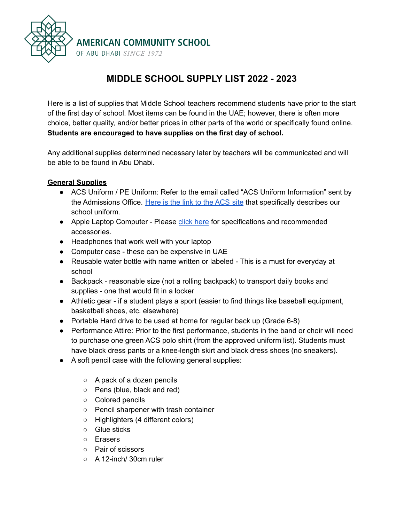

# **MIDDLE SCHOOL SUPPLY LIST 2022 - 2023**

Here is a list of supplies that Middle School teachers recommend students have prior to the start of the first day of school. Most items can be found in the UAE; however, there is often more choice, better quality, and/or better prices in other parts of the world or specifically found online. **Students are encouraged to have supplies on the first day of school.**

Any additional supplies determined necessary later by teachers will be communicated and will be able to be found in Abu Dhabi.

#### **General Supplies**

- ACS Uniform / PE Uniform: Refer to the email called "ACS Uniform Information" sent by the Admissions Office. [Here](https://uniforms.acs.sch.ae/) is the link to the ACS site that specifically describes our school uniform.
- Apple Laptop Computer Please click [here](https://docs.google.com/document/d/1aLIE-hNboRSnhffAHkGdQ_yEVcx1X_cdGfrVxcnDuwk/edit?usp=sharing) for specifications and recommended accessories.
- Headphones that work well with your laptop
- Computer case these can be expensive in UAE
- Reusable water bottle with name written or labeled This is a must for everyday at school
- Backpack reasonable size (not a rolling backpack) to transport daily books and supplies - one that would fit in a locker
- Athletic gear if a student plays a sport (easier to find things like baseball equipment, basketball shoes, etc. elsewhere)
- Portable Hard drive to be used at home for regular back up (Grade 6-8)
- Performance Attire: Prior to the first performance, students in the band or choir will need to purchase one green ACS polo shirt (from the approved uniform list). Students must have black dress pants or a knee-length skirt and black dress shoes (no sneakers).
- A soft pencil case with the following general supplies:
	- A pack of a dozen pencils
	- Pens (blue, black and red)
	- Colored pencils
	- Pencil sharpener with trash container
	- Highlighters (4 different colors)
	- Glue sticks
	- Erasers
	- Pair of scissors
	- A 12-inch/ 30cm ruler